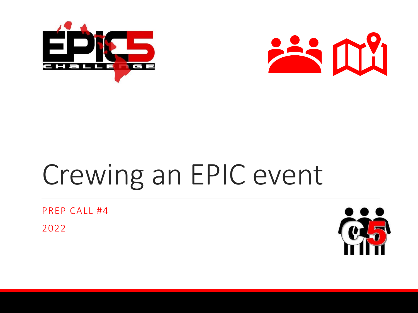



# Crewing an EPIC event

PREP CALL #4

2022

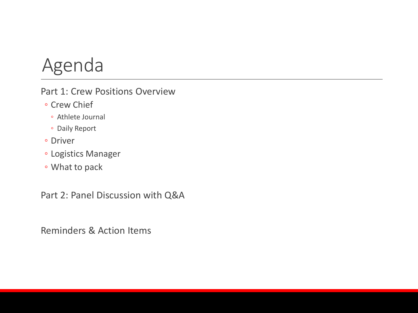### Agenda

Part 1: Crew Positions Overview

- Crew Chief
	- Athlete Journal
	- Daily Report
- Driver
- Logistics Manager
- What to pack

Part 2: Panel Discussion with Q&A

Reminders & Action Items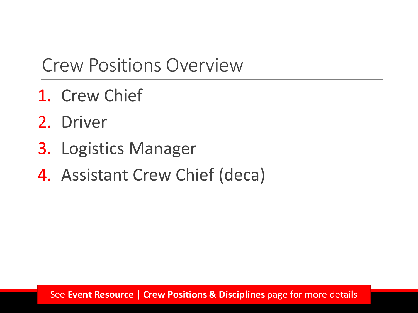#### Crew Positions Overview

- 1. Crew Chief
- 2. Driver
- 3. Logistics Manager
- 4. Assistant Crew Chief (deca)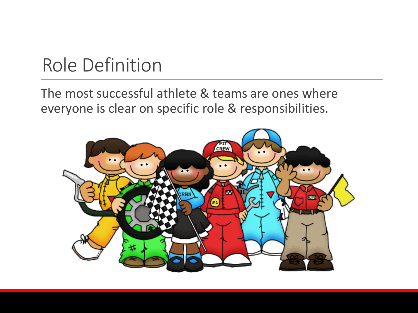### Role Definition

The most successful athlete & teams are ones where everyone is clear on specific role & responsibilities.

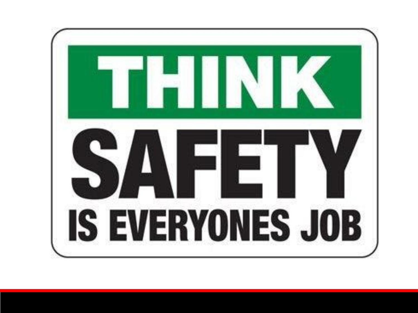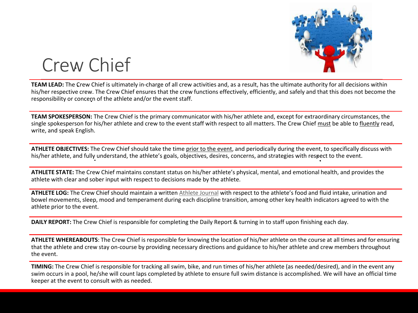

### Crew Chief

**TEAM LEAD:** The Crew Chief is ultimately in-charge of all crew activities and, as a result, has the ultimate authority for all decisions within his/her respective crew. The Crew Chief ensures that the crew functions effectively, efficiently, and safely and that this does not become the responsibility or concern of the athlete and/or the event staff.

**TEAM SPOKESPERSON:** The Crew Chief is the primary communicator with his/her athlete and, except for extraordinary circumstances, the single spokesperson for his/her athlete and crew to the event staff with respect to all matters. The Crew Chief must be able to fluently read, write, and speak English.

**ATHLETE OBJECTIVES:** The Crew Chief should take the time prior to the event, and periodically during the event, to specifically discuss with his/her athlete, and fully understand, the athlete's goals, objectives, desires, concerns, and strategies with respect to the event.

**ATHLETE STATE:** The Crew Chief maintains constant status on his/her athlete's physical, mental, and emotional health, and provides the athlete with clear and sober input with respect to decisions made by the athlete.

**ATHLETE LOG:** The Crew Chief should maintain a written [Athlete Journal](http://www.epic5.com/wp-content/uploads/2017/01/ATHLETE-RECORDER.pdf) with respect to the athlete's food and fluid intake, urination and bowel movements, sleep, mood and temperament during each discipline transition, among other key health indicators agreed to with the athlete prior to the event.

**DAILY REPORT:** The Crew Chief is responsible for completing the Daily Report & turning in to staff upon finishing each day.

**ATHLETE WHEREABOUTS**: The Crew Chief is responsible for knowing the location of his/her athlete on the course at all times and for ensuring that the athlete and crew stay on-course by providing necessary directions and guidance to his/her athlete and crew members throughout the event.

**TIMING:** The Crew Chief is responsible for tracking all swim, bike, and run times of his/her athlete (as needed/desired), and in the event any swim occurs in a pool, he/she will count laps completed by athlete to ensure full swim distance is accomplished. We will have an official time keeper at the event to consult with as needed.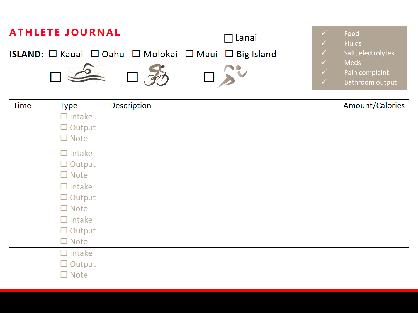

| <b>Time</b> | <b>Type</b>    | Description | Amount/Calories |
|-------------|----------------|-------------|-----------------|
|             | $\Box$ Intake  |             |                 |
|             | $\Box$ Output  |             |                 |
|             | $\square$ Note |             |                 |
|             | $\Box$ Intake  |             |                 |
|             | $\Box$ Output  |             |                 |
|             | $\square$ Note |             |                 |
|             | $\Box$ Intake  |             |                 |
|             | $\Box$ Output  |             |                 |
|             | $\square$ Note |             |                 |
|             | $\Box$ Intake  |             |                 |
|             | $\Box$ Output  |             |                 |
|             | $\square$ Note |             |                 |
|             | $\Box$ Intake  |             |                 |
|             | $\Box$ Output  |             |                 |
|             | $\square$ Note |             |                 |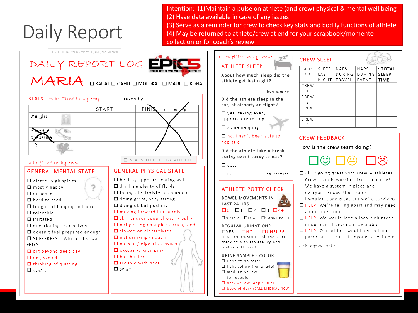# Daily Report

Intention: (1)Maintain a pulse on athlete (and crew) physical & mental well being (2) Have data available in case of any issues (3) Serve as a reminder for crew to check key stats and bodily functions of athlete (4) May be returned to athlete/crew at end for your scrapbook/momento collection or for coach's review

NAPS

DURING

FVFNT

~TOTAL

**SLEEP** 

**TIME** 

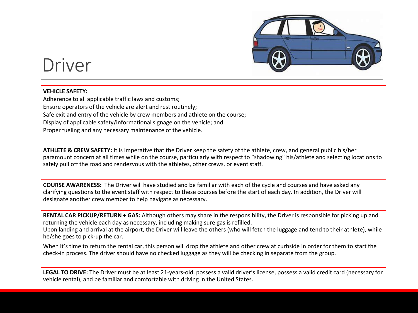

#### Driver

#### **VEHICLE SAFETY:**

Adherence to all applicable traffic laws and customs; Ensure operators of the vehicle are alert and rest routinely; Safe exit and entry of the vehicle by crew members and athlete on the course; Display of applicable safety/informational signage on the vehicle; and Proper fueling and any necessary maintenance of the vehicle.

**ATHLETE & CREW SAFETY:** It is imperative that the Driver keep the safety of the athlete, crew, and general public his/her paramount concern at all times while on the course, particularly with respect to "shadowing" his/athlete and selecting locations to safely pull off the road and rendezvous with the athletes, other crews, or event staff.

**COURSE AWARENESS:** The Driver will have studied and be familiar with each of the cycle and courses and have asked any clarifying questions to the event staff with respect to these courses before the start of each day. In addition, the Driver will designate another crew member to help navigate as necessary.

**RENTAL CAR PICKUP/RETURN + GAS:** Although others may share in the responsibility, the Driver is responsible for picking up and returning the vehicle each day as necessary, including making sure gas is refilled.

Upon landing and arrival at the airport, the Driver will leave the others (who will fetch the luggage and tend to their athlete), while he/she goes to pick-up the car.

When it's time to return the rental car, this person will drop the athlete and other crew at curbside in order for them to start the check-in process. The driver should have no checked luggage as they will be checking in separate from the group.

**LEGAL TO DRIVE:** The Driver must be at least 21-years-old, possess a valid driver's license, possess a valid credit card (necessary for vehicle rental), and be familiar and comfortable with driving in the United States.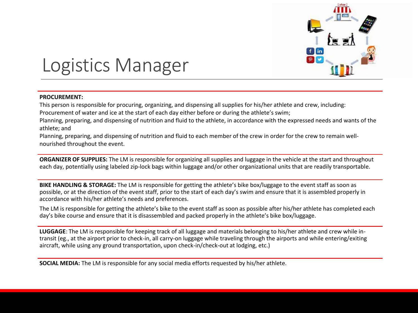

#### Logistics Manager

#### **PROCUREMENT:**

This person is responsible for procuring, organizing, and dispensing all supplies for his/her athlete and crew, including:

Procurement of water and ice at the start of each day either before or during the athlete's swim;

Planning, preparing, and dispensing of nutrition and fluid to the athlete, in accordance with the expressed needs and wants of the athlete; and

Planning, preparing, and dispensing of nutrition and fluid to each member of the crew in order for the crew to remain wellnourished throughout the event.

**ORGANIZER OF SUPPLIES:** The LM is responsible for organizing all supplies and luggage in the vehicle at the start and throughout each day, potentially using labeled zip-lock bags within luggage and/or other organizational units that are readily transportable.

**BIKE HANDLING & STORAGE:** The LM is responsible for getting the athlete's bike box/luggage to the event staff as soon as possible, or at the direction of the event staff, prior to the start of each day's swim and ensure that it is assembled properly in accordance with his/her athlete's needs and preferences.

The LM is responsible for getting the athlete's bike to the event staff as soon as possible after his/her athlete has completed each day's bike course and ensure that it is disassembled and packed properly in the athlete's bike box/luggage.

**LUGGAGE**: The LM is responsible for keeping track of all luggage and materials belonging to his/her athlete and crew while intransit (eg., at the airport prior to check-in, all carry-on luggage while traveling through the airports and while entering/exiting aircraft, while using any ground transportation, upon check-in/check-out at lodging, etc.)

**SOCIAL MEDIA:** The LM is responsible for any social media efforts requested by his/her athlete.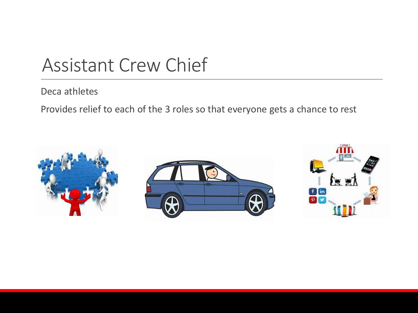### Assistant Crew Chief

#### Deca athletes

Provides relief to each of the 3 roles so that everyone gets a chance to rest

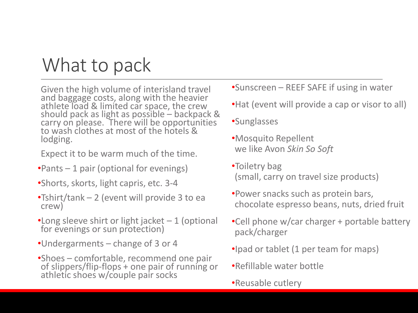## What to pack

Given the high volume of interisland travel and baggage costs, along with the heavier athlete load & limited car space, the crew should pack as light as possible – backpack & carry on please. There will be opportunities to wash clothes at most of the hotels & lodging.

Expect it to be warm much of the time.

- •Pants 1 pair (optional for evenings)
- •Shorts, skorts, light capris, etc. 3-4
- •Tshirt/tank 2 (event will provide 3 to ea crew)
- •Long sleeve shirt or light jacket  $-1$  (optional for evenings or sun protection)
- •Undergarments change of 3 or 4
- •Shoes comfortable, recommend one pair of slippers/flip-flops + one pair of running or athletic shoes w/couple pair socks
- •Sunscreen REEF SAFE if using in water
- •Hat (event will provide a cap or visor to all)
- •Sunglasses
- •Mosquito Repellent we like Avon *Skin So Soft*
- •Toiletry bag (small, carry on travel size products)
- •Power snacks such as protein bars, chocolate espresso beans, nuts, dried fruit
- •Cell phone w/car charger + portable battery pack/charger
- •Ipad or tablet (1 per team for maps)
- •Refillable water bottle
- •Reusable cutlery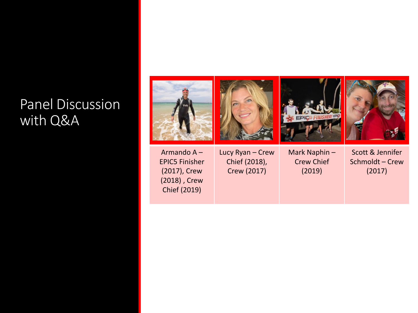#### Panel Discussion with Q&A



EPIC5 Finisher (2017), Crew (2018) , Crew Chief (2019)

Chief (2018), Crew (2017)

Crew Chief (2019)

Scott & Jennifer Schmoldt – Crew (2017)